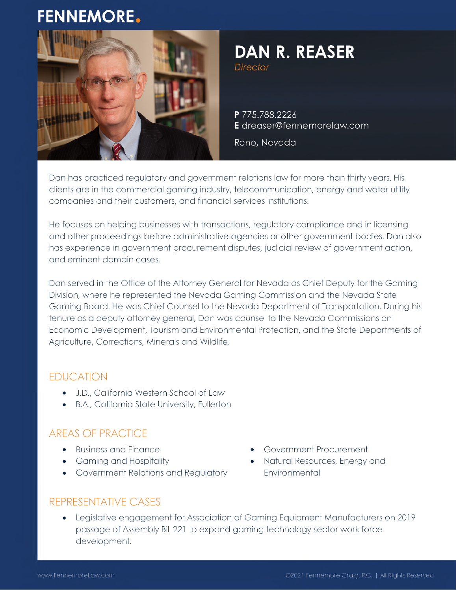# **FENNEMORE.**



# **DAN R. REASER**

**Director** 

P 775.788.2226 E dreaser@fennemorelaw.com

Reno, Nevada

Dan has practiced regulatory and government relations law for more than thirty years. His clients are in the commercial gaming industry, telecommunication, energy and water utility companies and their customers, and financial services institutions.

He focuses on helping businesses with transactions, regulatory compliance and in licensing and other proceedings before administrative agencies or other government bodies. Dan also has experience in government procurement disputes, judicial review of government action, and eminent domain cases.

Dan served in the Office of the Attorney General for Nevada as Chief Deputy for the Gaming Division, where he represented the Nevada Gaming Commission and the Nevada State Gaming Board. He was Chief Counsel to the Nevada Department of Transportation. During his tenure as a deputy attorney general, Dan was counsel to the Nevada Commissions on Economic Development, Tourism and Environmental Protection, and the State Departments of Agriculture, Corrections, Minerals and Wildlife.

#### EDUCATION

- J.D., California Western School of Law
- B.A., California State University, Fullerton

## AREAS OF PRACTICE

- Business and Finance
- Gaming and Hospitality
- **•** Government Relations and Regulatory
- Government Procurement
- Natural Resources, Energy and **Environmental**

#### REPRESENTATIVE CASES

 Legislative engagement for Association of Gaming Equipment Manufacturers on 2019 passage of Assembly Bill 221 to expand gaming technology sector work force development.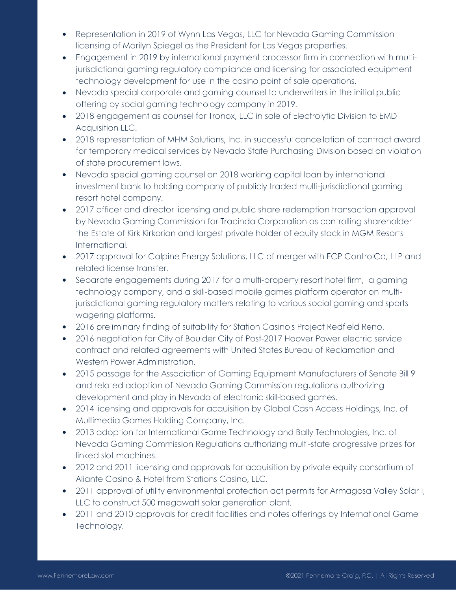- Representation in 2019 of Wynn Las Vegas, LLC for Nevada Gaming Commission licensing of Marilyn Spiegel as the President for Las Vegas properties.
- Engagement in 2019 by international payment processor firm in connection with multijurisdictional gaming regulatory compliance and licensing for associated equipment technology development for use in the casino point of sale operations.
- Nevada special corporate and gaming counsel to underwriters in the initial public offering by social gaming technology company in 2019.
- 2018 engagement as counsel for Tronox, LLC in sale of Electrolytic Division to EMD Acquisition LLC.
- 2018 representation of MHM Solutions, Inc. in successful cancellation of contract award for temporary medical services by Nevada State Purchasing Division based on violation of state procurement laws.
- Nevada special gaming counsel on 2018 working capital loan by international investment bank to holding company of publicly traded multi-jurisdictional gaming resort hotel company.
- 2017 officer and director licensing and public share redemption transaction approval by Nevada Gaming Commission for Tracinda Corporation as controlling shareholder the Estate of Kirk Kirkorian and largest private holder of equity stock in MGM Resorts International.
- 2017 approval for Calpine Energy Solutions, LLC of merger with ECP ControlCo, LLP and related license transfer.
- Separate engagements during 2017 for a multi-property resort hotel firm, a gaming technology company, and a skill-based mobile games platform operator on multijurisdictional gaming regulatory matters relating to various social gaming and sports wagering platforms.
- 2016 preliminary finding of suitability for Station Casino's Project Redfield Reno.
- 2016 negotiation for City of Boulder City of Post-2017 Hoover Power electric service contract and related agreements with United States Bureau of Reclamation and Western Power Administration.
- 2015 passage for the Association of Gaming Equipment Manufacturers of Senate Bill 9 and related adoption of Nevada Gaming Commission regulations authorizing development and play in Nevada of electronic skill-based games.
- 2014 licensing and approvals for acquisition by Global Cash Access Holdings, Inc. of Multimedia Games Holding Company, Inc.
- 2013 adoption for International Game Technology and Bally Technologies, Inc. of Nevada Gaming Commission Regulations authorizing multi-state progressive prizes for linked slot machines.
- 2012 and 2011 licensing and approvals for acquisition by private equity consortium of Aliante Casino & Hotel from Stations Casino, LLC.
- 2011 approval of utility environmental protection act permits for Armagosa Valley Solar I, LLC to construct 500 megawatt solar generation plant.
- 2011 and 2010 approvals for credit facilities and notes offerings by International Game Technology.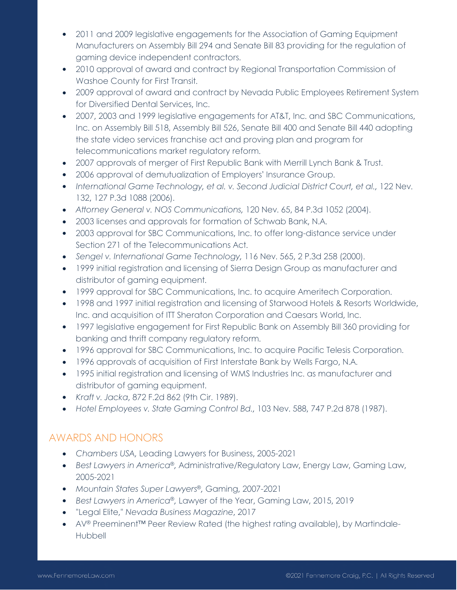- 2011 and 2009 legislative engagements for the Association of Gaming Equipment Manufacturers on Assembly Bill 294 and Senate Bill 83 providing for the regulation of gaming device independent contractors.
- 2010 approval of award and contract by Regional Transportation Commission of Washoe County for First Transit.
- 2009 approval of award and contract by Nevada Public Employees Retirement System for Diversified Dental Services, Inc.
- 2007, 2003 and 1999 legislative engagements for AT&T, Inc. and SBC Communications, Inc. on Assembly Bill 518, Assembly Bill 526, Senate Bill 400 and Senate Bill 440 adopting the state video services franchise act and proving plan and program for telecommunications market regulatory reform.
- 2007 approvals of merger of First Republic Bank with Merrill Lynch Bank & Trust.
- 2006 approval of demutualization of Employers' Insurance Group.
- *International Game Technology, et al. v. Second Judicial District Court, et al.,* 122 Nev. 132, 127 P.3d 1088 (2006).
- *Attorney General v. NOS Communications,* 120 Nev. 65, 84 P.3d 1052 (2004).
- 2003 licenses and approvals for formation of Schwab Bank, N.A.
- 2003 approval for SBC Communications, Inc. to offer long-distance service under Section 271 of the Telecommunications Act.
- *Sengel v. International Game Technology,* 116 Nev. 565, 2 P.3d 258 (2000).
- 1999 initial registration and licensing of Sierra Design Group as manufacturer and distributor of gaming equipment.
- 1999 approval for SBC Communications, Inc. to acquire Ameritech Corporation.
- 1998 and 1997 initial registration and licensing of Starwood Hotels & Resorts Worldwide, Inc. and acquisition of ITT Sheraton Corporation and Caesars World, Inc.
- 1997 legislative engagement for First Republic Bank on Assembly Bill 360 providing for banking and thrift company regulatory reform.
- 1996 approval for SBC Communications, Inc. to acquire Pacific Telesis Corporation.
- 1996 approvals of acquisition of First Interstate Bank by Wells Fargo, N.A.
- 1995 initial registration and licensing of WMS Industries Inc. as manufacturer and distributor of gaming equipment.
- *Kraft v. Jacka*, 872 F.2d 862 (9th Cir. 1989).
- *Hotel Employees v. State Gaming Control Bd.,* 103 Nev. 588, 747 P.2d 878 (1987).

#### AWARDS AND HONORS

- *Chambers USA,* Leading Lawyers for Business, 2005-2021
- *Best Lawyers in America*®*,* Administrative/Regulatory Law, Energy Law, Gaming Law, 2005-2021
- *Mountain States Super Lawyers*®*,* Gaming, 2007-2021
- *Best Lawyers in America*®*,* Lawyer of the Year, Gaming Law, 2015, 2019
- "Legal Elite," *Nevada Business Magazine*, 2017
- AV® Preeminent<sup>™</sup> Peer Review Rated (the highest rating available), by Martindale-Hubbell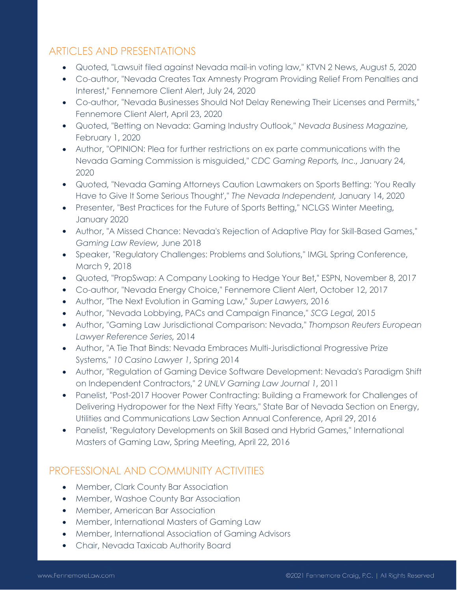#### ARTICLES AND PRESENTATIONS

- Quoted, "Lawsuit filed against Nevada mail-in voting law," KTVN 2 News, August 5, 2020
- Co-author, "Nevada Creates Tax Amnesty Program Providing Relief From Penalties and Interest," Fennemore Client Alert, July 24, 2020
- Co-author, "Nevada Businesses Should Not Delay Renewing Their Licenses and Permits," Fennemore Client Alert, April 23, 2020
- Quoted, "Betting on Nevada: Gaming Industry Outlook," *Nevada Business Magazine,*  February 1, 2020
- Author, "OPINION: Plea for further restrictions on ex parte communications with the Nevada Gaming Commission is misguided," *CDC Gaming Reports, Inc*., January 24, 2020
- Quoted, "Nevada Gaming Attorneys Caution Lawmakers on Sports Betting: 'You Really Have to Give It Some Serious Thought'," *The Nevada Independent,* January 14, 2020
- Presenter, "Best Practices for the Future of Sports Betting," NCLGS Winter Meeting, January 2020
- Author, "A Missed Chance: Nevada's Rejection of Adaptive Play for Skill-Based Games," *Gaming Law Review,* June 2018
- Speaker, "Regulatory Challenges: Problems and Solutions," IMGL Spring Conference, March 9, 2018
- Quoted, "PropSwap: A Company Looking to Hedge Your Bet," ESPN, November 8, 2017
- Co-author, "Nevada Energy Choice," Fennemore Client Alert, October 12, 2017
- Author, "The Next Evolution in Gaming Law," *Super Lawyers*, 2016
- Author, "Nevada Lobbying, PACs and Campaign Finance," *SCG Legal,* 2015
- Author, "Gaming Law Jurisdictional Comparison: Nevada," *Thompson Reuters European Lawyer Reference Series,* 2014
- Author, "A Tie That Binds: Nevada Embraces Multi-Jurisdictional Progressive Prize Systems," *10 Casino Lawyer 1*, Spring 2014
- Author, "Regulation of Gaming Device Software Development: Nevada's Paradigm Shift on Independent Contractors," *2 UNLV Gaming Law Journal 1*, 2011
- Panelist, "Post-2017 Hoover Power Contracting: Building a Framework for Challenges of Delivering Hydropower for the Next Fifty Years," State Bar of Nevada Section on Energy, Utilities and Communications Law Section Annual Conference, April 29, 2016
- Panelist, "Regulatory Developments on Skill Based and Hybrid Games," International Masters of Gaming Law, Spring Meeting, April 22, 2016

## PROFESSIONAL AND COMMUNITY ACTIVITIES

- **•** Member, Clark County Bar Association
- Member, Washoe County Bar Association
- Member, American Bar Association
- Member, International Masters of Gaming Law
- Member, International Association of Gaming Advisors
- Chair, Nevada Taxicab Authority Board